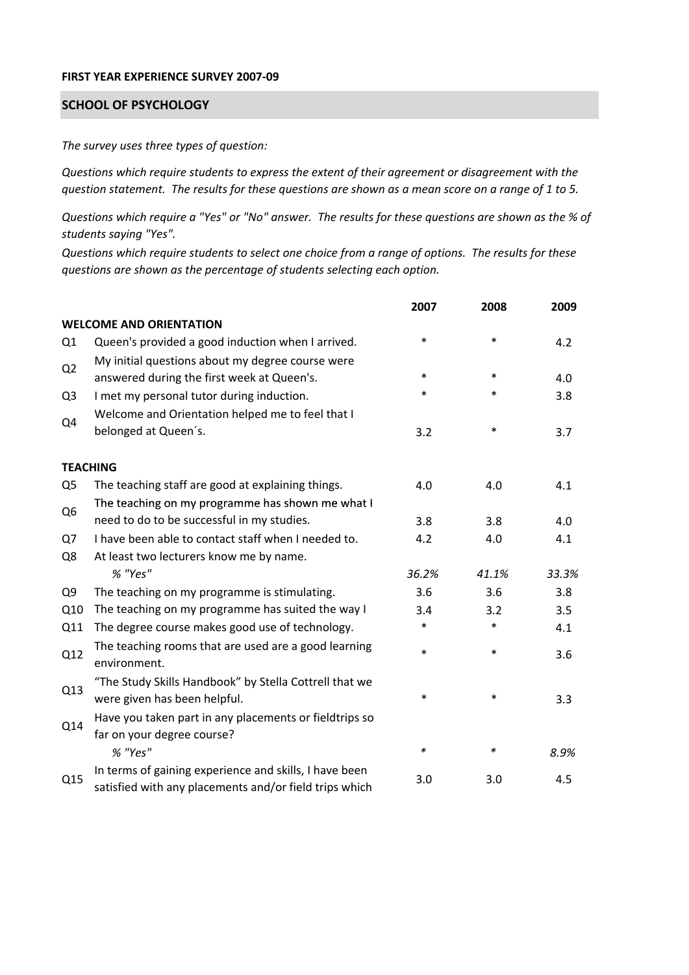## **FIRST YEAR EXPERIENCE SURVEY 2007‐09**

## **SCHOOL OF PSYCHOLOGY**

*The survey uses three types of question:*

*Questions which require students to express the extent of their agreement or disagreement with the* question statement. The results for these questions are shown as a mean score on a range of 1 to 5.

Questions which require a "Yes" or "No" answer. The results for these questions are shown as the % of *students saying "Yes".*

Questions which require students to select one choice from a range of options. The results for these *questions are shown as the percentage of students selecting each option.*

|                |                                                                                                                  | 2007   | 2008   | 2009  |
|----------------|------------------------------------------------------------------------------------------------------------------|--------|--------|-------|
|                | <b>WELCOME AND ORIENTATION</b>                                                                                   |        |        |       |
| Q1             | Queen's provided a good induction when I arrived.                                                                | $\ast$ | $\ast$ | 4.2   |
| Q2             | My initial questions about my degree course were<br>answered during the first week at Queen's.                   | $\ast$ | $\ast$ | 4.0   |
| Q <sub>3</sub> | I met my personal tutor during induction.                                                                        | $\ast$ | $\ast$ | 3.8   |
| Q4             | Welcome and Orientation helped me to feel that I                                                                 |        |        |       |
|                | belonged at Queen's.                                                                                             | 3.2    | $\ast$ | 3.7   |
|                | <b>TEACHING</b>                                                                                                  |        |        |       |
| Q <sub>5</sub> | The teaching staff are good at explaining things.                                                                | 4.0    | 4.0    | 4.1   |
|                | The teaching on my programme has shown me what I                                                                 |        |        |       |
| Q <sub>6</sub> | need to do to be successful in my studies.                                                                       | 3.8    | 3.8    | 4.0   |
| Q7             | I have been able to contact staff when I needed to.                                                              | 4.2    | 4.0    | 4.1   |
| Q8             | At least two lecturers know me by name.                                                                          |        |        |       |
|                | % "Yes"                                                                                                          | 36.2%  | 41.1%  | 33.3% |
| Q <sub>9</sub> | The teaching on my programme is stimulating.                                                                     | 3.6    | 3.6    | 3.8   |
| Q10            | The teaching on my programme has suited the way I                                                                | 3.4    | 3.2    | 3.5   |
| Q11            | The degree course makes good use of technology.                                                                  | $\ast$ | $\ast$ | 4.1   |
| Q12            | The teaching rooms that are used are a good learning<br>environment.                                             | $\ast$ | $\ast$ | 3.6   |
| Q13            | "The Study Skills Handbook" by Stella Cottrell that we<br>were given has been helpful.                           | *      | $\ast$ | 3.3   |
| Q14            | Have you taken part in any placements or fieldtrips so<br>far on your degree course?                             |        |        |       |
|                | % "Yes"                                                                                                          | $\ast$ | $\ast$ | 8.9%  |
| Q15            | In terms of gaining experience and skills, I have been<br>satisfied with any placements and/or field trips which | 3.0    | 3.0    | 4.5   |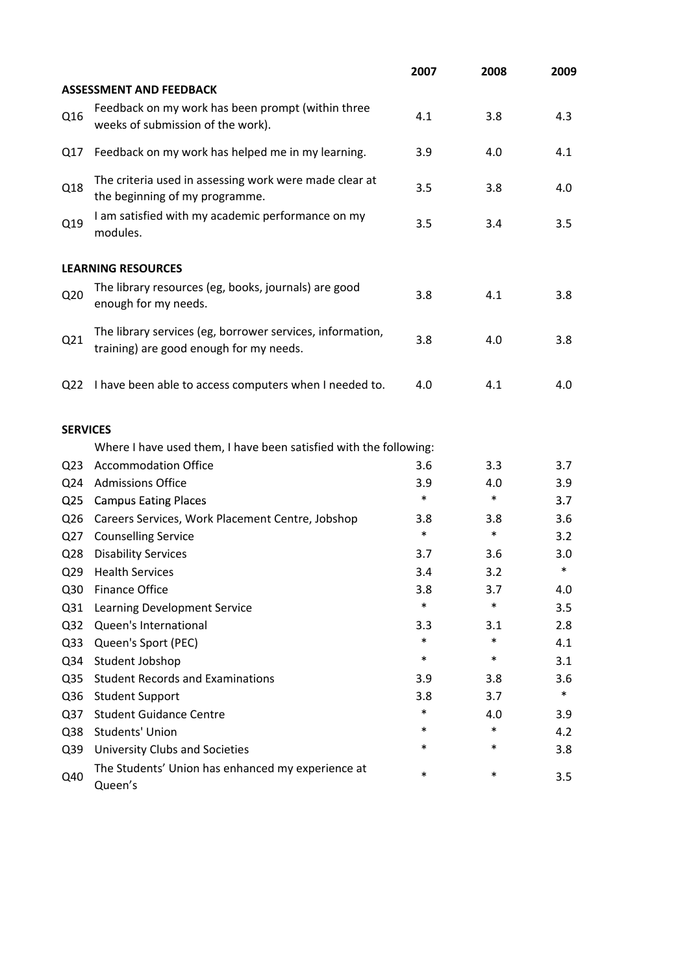|                 |                                                                                                      | 2007   | 2008   | 2009   |
|-----------------|------------------------------------------------------------------------------------------------------|--------|--------|--------|
|                 | <b>ASSESSMENT AND FEEDBACK</b>                                                                       |        |        |        |
| Q16             | Feedback on my work has been prompt (within three<br>weeks of submission of the work).               | 4.1    | 3.8    | 4.3    |
| Q17             | Feedback on my work has helped me in my learning.                                                    | 3.9    | 4.0    | 4.1    |
| Q18             | The criteria used in assessing work were made clear at<br>the beginning of my programme.             | 3.5    | 3.8    | 4.0    |
| Q19             | I am satisfied with my academic performance on my<br>modules.                                        | 3.5    | 3.4    | 3.5    |
|                 | <b>LEARNING RESOURCES</b>                                                                            |        |        |        |
| Q <sub>20</sub> | The library resources (eg, books, journals) are good<br>enough for my needs.                         | 3.8    | 4.1    | 3.8    |
| Q21             | The library services (eg, borrower services, information,<br>training) are good enough for my needs. | 3.8    | 4.0    | 3.8    |
| Q <sub>22</sub> | I have been able to access computers when I needed to.                                               | 4.0    | 4.1    | 4.0    |
| <b>SERVICES</b> |                                                                                                      |        |        |        |
|                 | Where I have used them, I have been satisfied with the following:                                    |        |        |        |
| Q <sub>23</sub> | <b>Accommodation Office</b>                                                                          | 3.6    | 3.3    | 3.7    |
| Q24             | <b>Admissions Office</b>                                                                             | 3.9    | 4.0    | 3.9    |
| Q <sub>25</sub> | <b>Campus Eating Places</b>                                                                          | $\ast$ | $\ast$ | 3.7    |
| Q <sub>26</sub> | Careers Services, Work Placement Centre, Jobshop                                                     | 3.8    | 3.8    | 3.6    |
| Q27             | <b>Counselling Service</b>                                                                           | $\ast$ | $\ast$ | 3.2    |
| Q <sub>28</sub> | <b>Disability Services</b>                                                                           | 3.7    | 3.6    | 3.0    |
| Q <sub>29</sub> | <b>Health Services</b>                                                                               | 3.4    | 3.2    | $\ast$ |
| Q30             | <b>Finance Office</b>                                                                                | 3.8    | 3.7    | 4.0    |
| Q <sub>31</sub> | Learning Development Service                                                                         | $\ast$ | $\ast$ | 3.5    |
| Q <sub>32</sub> | Queen's International                                                                                | 3.3    | 3.1    | 2.8    |
| Q <sub>33</sub> | Queen's Sport (PEC)                                                                                  | $\ast$ | $\ast$ | 4.1    |
| Q34             | Student Jobshop                                                                                      | $\ast$ | $\ast$ | 3.1    |
| Q <sub>35</sub> | <b>Student Records and Examinations</b>                                                              | 3.9    | 3.8    | 3.6    |
| Q36             | <b>Student Support</b>                                                                               | 3.8    | 3.7    | $\ast$ |
| Q <sub>37</sub> | <b>Student Guidance Centre</b>                                                                       | $\ast$ | 4.0    | 3.9    |
| Q38             | <b>Students' Union</b>                                                                               | *      | $\ast$ | 4.2    |
| Q39             | University Clubs and Societies                                                                       | *      | $\ast$ | 3.8    |
| Q40             | The Students' Union has enhanced my experience at<br>Queen's                                         | $\ast$ | $\ast$ | 3.5    |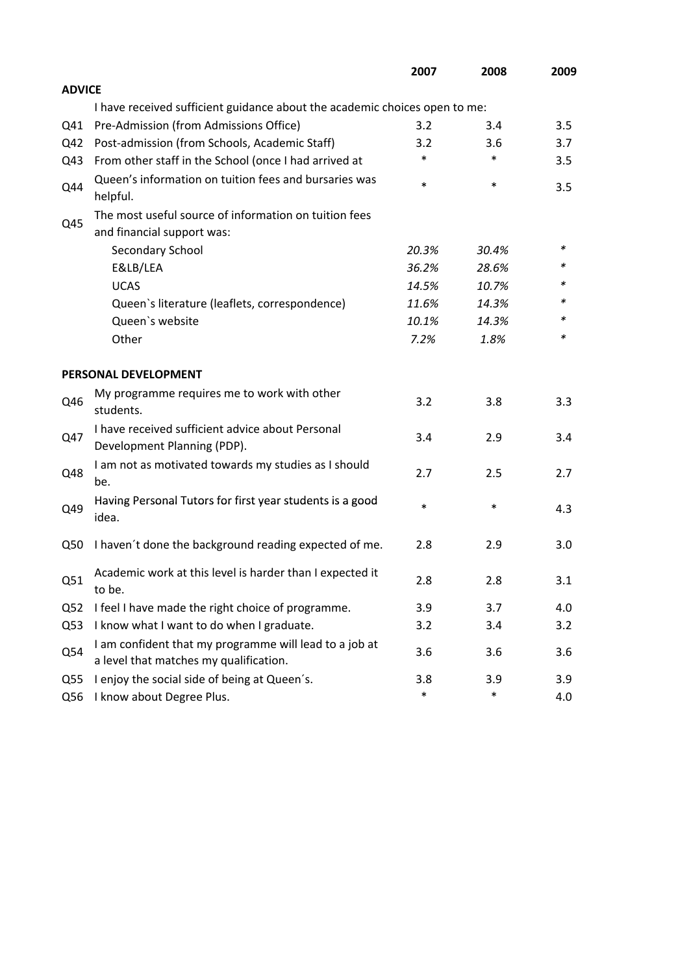|                 |                                                                                                  | 2007   | 2008   | 2009 |
|-----------------|--------------------------------------------------------------------------------------------------|--------|--------|------|
| <b>ADVICE</b>   |                                                                                                  |        |        |      |
|                 | I have received sufficient guidance about the academic choices open to me:                       |        |        |      |
| Q41             | Pre-Admission (from Admissions Office)                                                           | 3.2    | 3.4    | 3.5  |
| Q42             | Post-admission (from Schools, Academic Staff)                                                    | 3.2    | 3.6    | 3.7  |
| Q43             | From other staff in the School (once I had arrived at                                            | *      | $\ast$ | 3.5  |
| Q44             | Queen's information on tuition fees and bursaries was<br>helpful.                                | $\ast$ | $\ast$ | 3.5  |
|                 | The most useful source of information on tuition fees                                            |        |        |      |
| Q45             | and financial support was:                                                                       |        |        |      |
|                 | Secondary School                                                                                 | 20.3%  | 30.4%  | ∗    |
|                 | E&LB/LEA                                                                                         | 36.2%  | 28.6%  | *    |
|                 | <b>UCAS</b>                                                                                      | 14.5%  | 10.7%  |      |
|                 | Queen's literature (leaflets, correspondence)                                                    | 11.6%  | 14.3%  | *    |
|                 | Queen's website                                                                                  | 10.1%  | 14.3%  | *    |
|                 | Other                                                                                            | 7.2%   | 1.8%   | *    |
|                 | PERSONAL DEVELOPMENT                                                                             |        |        |      |
| Q46             | My programme requires me to work with other<br>students.                                         | 3.2    | 3.8    | 3.3  |
| Q47             | I have received sufficient advice about Personal<br>Development Planning (PDP).                  | 3.4    | 2.9    | 3.4  |
| Q48             | I am not as motivated towards my studies as I should<br>be.                                      | 2.7    | 2.5    | 2.7  |
| Q49             | Having Personal Tutors for first year students is a good<br>idea.                                | $\ast$ | $\ast$ | 4.3  |
| Q50             | I haven't done the background reading expected of me.                                            | 2.8    | 2.9    | 3.0  |
| Q51             | Academic work at this level is harder than I expected it<br>to be.                               | 2.8    | 2.8    | 3.1  |
| Q <sub>52</sub> | I feel I have made the right choice of programme.                                                | 3.9    | 3.7    | 4.0  |
| Q53             | I know what I want to do when I graduate.                                                        | 3.2    | 3.4    | 3.2  |
| Q54             | I am confident that my programme will lead to a job at<br>a level that matches my qualification. | 3.6    | 3.6    | 3.6  |
| Q <sub>55</sub> | I enjoy the social side of being at Queen's.                                                     | 3.8    | 3.9    | 3.9  |
| Q56             | I know about Degree Plus.                                                                        | $\ast$ | $\ast$ | 4.0  |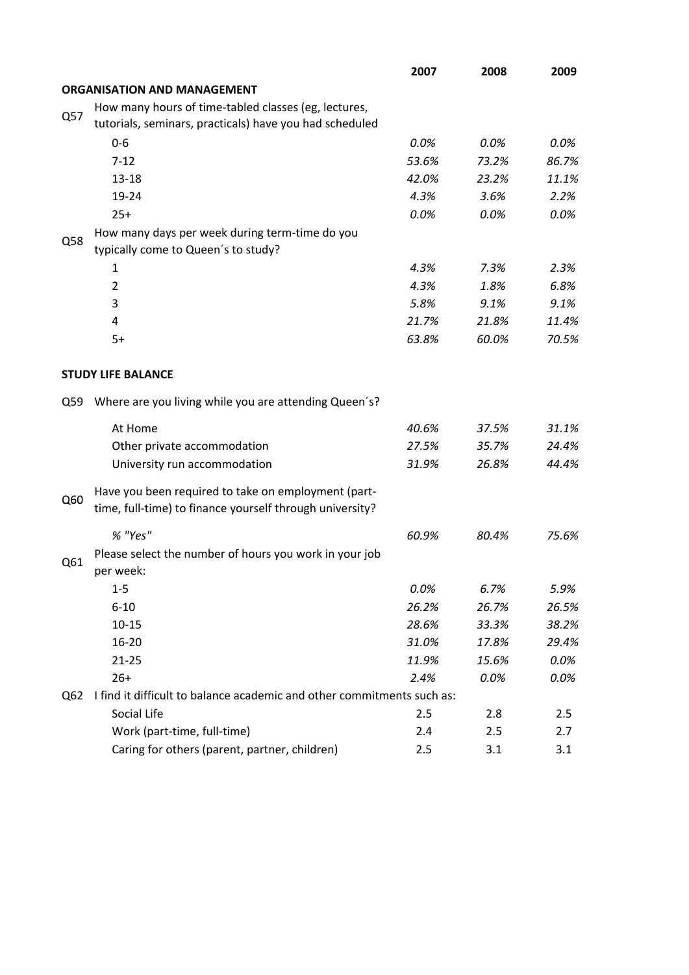|     |                                                                        | 2007    | 2008  | 2009  |
|-----|------------------------------------------------------------------------|---------|-------|-------|
|     | <b>ORGANISATION AND MANAGEMENT</b>                                     |         |       |       |
|     | How many hours of time-tabled classes (eg, lectures,                   |         |       |       |
| Q57 | tutorials, seminars, practicals) have you had scheduled                |         |       |       |
|     | $0-6$                                                                  | 0.0%    | 0.0%  | 0.0%  |
|     | $7 - 12$                                                               | 53.6%   | 73.2% | 86.7% |
|     | $13 - 18$                                                              | 42.0%   | 23.2% | 11.1% |
|     | 19-24                                                                  | 4.3%    | 3.6%  | 2.2%  |
|     | $25+$                                                                  | $0.0\%$ | 0.0%  | 0.0%  |
| Q58 | How many days per week during term-time do you                         |         |       |       |
|     | typically come to Queen's to study?                                    |         |       |       |
|     | 1                                                                      | 4.3%    | 7.3%  | 2.3%  |
|     | $\overline{2}$                                                         | 4.3%    | 1.8%  | 6.8%  |
|     | 3                                                                      | 5.8%    | 9.1%  | 9.1%  |
|     | 4                                                                      | 21.7%   | 21.8% | 11.4% |
|     | $5+$                                                                   | 63.8%   | 60.0% | 70.5% |
|     |                                                                        |         |       |       |
|     | <b>STUDY LIFE BALANCE</b>                                              |         |       |       |
| Q59 | Where are you living while you are attending Queen's?                  |         |       |       |
|     | At Home                                                                | 40.6%   | 37.5% | 31.1% |
|     | Other private accommodation                                            | 27.5%   | 35.7% | 24.4% |
|     | University run accommodation                                           | 31.9%   | 26.8% | 44.4% |
|     | Have you been required to take on employment (part-                    |         |       |       |
| Q60 | time, full-time) to finance yourself through university?               |         |       |       |
|     | % "Yes"                                                                | 60.9%   | 80.4% | 75.6% |
|     | Please select the number of hours you work in your job                 |         |       |       |
| Q61 | per week:                                                              |         |       |       |
|     | $1 - 5$                                                                | 0.0%    | 6.7%  | 5.9%  |
|     | $6 - 10$                                                               | 26.2%   | 26.7% | 26.5% |
|     | $10 - 15$                                                              | 28.6%   | 33.3% | 38.2% |
|     | 16-20                                                                  | 31.0%   | 17.8% | 29.4% |
|     | $21 - 25$                                                              | 11.9%   | 15.6% | 0.0%  |
|     | $26+$                                                                  | 2.4%    | 0.0%  | 0.0%  |
| Q62 | I find it difficult to balance academic and other commitments such as: |         |       |       |
|     | Social Life                                                            | 2.5     | 2.8   | 2.5   |
|     | Work (part-time, full-time)                                            | 2.4     | 2.5   | 2.7   |
|     | Caring for others (parent, partner, children)                          | 2.5     | 3.1   | 3.1   |